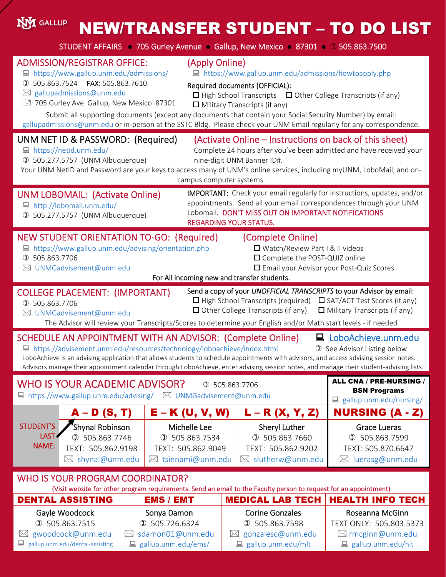#### **NYI** GALLUP NEW/TRANSFER STUDENT – TO DO LIST STUDENT AFFAIRS ● 705 Gurley Avenue ● Gallup, New Mexico ● 87301 ● 505.863.7500 ADMISSION/REGISTRAR OFFICE: (Apply Online) https://www.gallup.unm.edu/admissions/howtoapply.php ■ https://www.gallup.unm.edu/admissions/ 505.863.7524 FAX: 505.863.7610 Required documents (OFFICIAL):  $\boxtimes$  gallupadmissions@unm.edu  $\Box$  High School Transcripts  $\Box$  Other College Transcripts (if any) 705 Gurley Ave Gallup, New Mexico 87301  $\Box$  Military Transcripts (if any) Submit all supporting documents (except any documents that contain your Social Security Number) by email: gallupadmissions@unm.edu or in-person at the SSTC Bldg. Please check your UNM Email regularly for any correspondence. UNM NET ID & PASSWORD: (Required) (Activate Online – Instructions on back of this sheet) ■ https://netid.unm.edu/ Complete 24 hours after you've been admitted and have received your 505.277.5757 (UNM Albuquerque) nine‐digit UNM Banner ID#. Your UNM NetID and Password are your keys to access many of UNM's online services, including myUNM, LoboMail, and oncampus computer systems. IMPORTANT: Check your email regularly for instructions, updates, and/or UNM LOBOMAIL: (Activate Online) appointments. Send all your email correspondences through your UNM http://lobomail.unm.edu/ Lobomail. DON'T MISS OUT ON IMPORTANT NOTIFICATIONS 505.277.5757 (UNM Albuquerque) REGARDING YOUR STATUS. NEW STUDENT ORIENTATION TO‐GO: (Required) (Complete Online) ■ https://www.gallup.unm.edu/advising/orientation.php Watch/Review Part I & II videos □ Complete the POST-QUIZ online 505.863.7706 UNMGadvisement@unm.edu Email your Advisor your Post‐Quiz Scores For All incoming new and transfer students. Send a copy of your *UNOFFICIAL TRANSCRIPTS* to your Advisor by email: COLLEGE PLACEMENT: (IMPORTANT)  $\Box$  High School Transcripts (required)  $\Box$  SAT/ACT Test Scores (if any) 505.863.7706  $\Box$  Other College Transcripts (if any)  $\Box$  Military Transcripts (if any) UNMGadvisement@unm.edu The Advisor will review your Transcripts/Scores to determine your English and/or Math start levels ‐ if needed SCHEDULE AN APPOINTMENT WITH AN ADVISOR: (Complete Online) LoboAchieve.unm.edu ■ https://advisement.unm.edu/resources/technology/loboachieve/index.html **1** See Advisor Listing below LoboAchieve is an advising application that allows students to schedule appointments with advisors, and access advising session notes. Advisors manage their appointment calendar through LoboAchieve, enter advising session notes, and manage their student‐advising lists. ALL CNA / PRE-NURSING / WHO IS YOUR ACADEMIC ADVISOR? 3 505.863.7706 BSN Programs  $\Box$  https://www.gallup.unm.edu/advising/  $\boxtimes$  UNMGadvisement@unm.edu ■ gallup.unm.edu/nursing/ A – D (S, T) E – K (U, V, W) L – R (X, Y, Z) NURSING (A - Z) STUDENT'S Shynal Robinson Sheryl Luther Michelle Lee Grace Lueras LAST<sup></sup> 505.863.7746 505.863.7534 505.863.7660 505.863.7599 NAME: TEXT: 505.862.9198 TEXT: 505.862.9049 TEXT: 505.862.9202 TEXT: 505.870.6647  $\boxtimes$  shynal@unm.edu  $\boxtimes$  tsinnami@unm.edu  $\boxtimes$  slutherw@unm.edu  $\boxtimes$  luerasg@unm.edu WHO IS YOUR PROGRAM COORDINATOR?

(Visit website for other program requirements. Send an email to the Faculty person to request for an appointment)

| <b>DENTAL ASSISTING</b>         | <b>EMS / EMT</b>               | <b>MEDICAL LAB TECH   HEALTH INFO TECH</b> |                             |
|---------------------------------|--------------------------------|--------------------------------------------|-----------------------------|
| Gayle Woodcock                  | Sonya Damon                    | <b>Corine Gonzales</b>                     | Roseanna McGinn             |
| \$505.863.7515                  | $\textcircled{1}$ 505.726.6324 | \$505.863.7598                             | TEXT ONLY: 505.803.5373     |
| $\boxtimes$ gwoodcock@unm.edu   | $\boxtimes$ sdamon01@unm.edu   | $\boxtimes$ gonzalesc@unm.edu              | $\boxtimes$ rmcginn@unm.edu |
| gallup.unm.edu/dental-assisting | $\Box$ gallup.unm.edu/ems/     | gallup.unm.edu/mlt                         | ■ gallup.unm.edu/hit        |